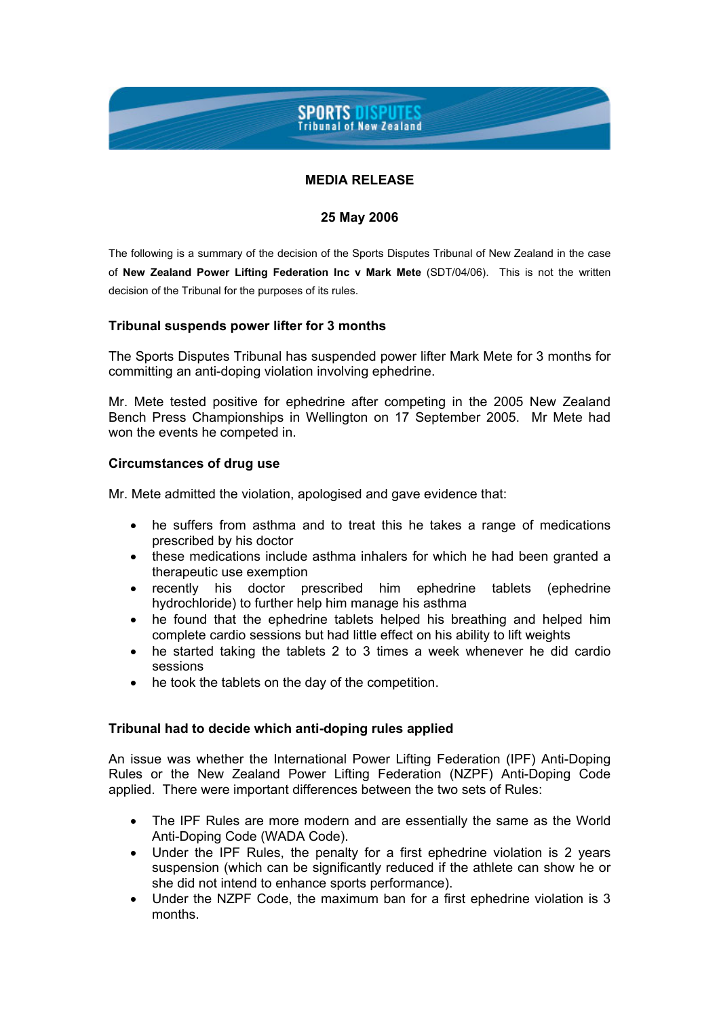# **SPORTS DISPUTES Tribunal of New Zealand**

## **MEDIA RELEASE**

## **25 May 2006**

The following is a summary of the decision of the Sports Disputes Tribunal of New Zealand in the case of **New Zealand Power Lifting Federation Inc v Mark Mete** (SDT/04/06). This is not the written decision of the Tribunal for the purposes of its rules.

## **Tribunal suspends power lifter for 3 months**

The Sports Disputes Tribunal has suspended power lifter Mark Mete for 3 months for committing an anti-doping violation involving ephedrine.

Mr. Mete tested positive for ephedrine after competing in the 2005 New Zealand Bench Press Championships in Wellington on 17 September 2005. Mr Mete had won the events he competed in.

### **Circumstances of drug use**

Mr. Mete admitted the violation, apologised and gave evidence that:

- he suffers from asthma and to treat this he takes a range of medications prescribed by his doctor
- these medications include asthma inhalers for which he had been granted a therapeutic use exemption
- recently his doctor prescribed him ephedrine tablets (ephedrine hydrochloride) to further help him manage his asthma
- he found that the ephedrine tablets helped his breathing and helped him complete cardio sessions but had little effect on his ability to lift weights
- he started taking the tablets 2 to 3 times a week whenever he did cardio sessions
- he took the tablets on the day of the competition.

### **Tribunal had to decide which anti-doping rules applied**

An issue was whether the International Power Lifting Federation (IPF) Anti-Doping Rules or the New Zealand Power Lifting Federation (NZPF) Anti-Doping Code applied. There were important differences between the two sets of Rules:

- The IPF Rules are more modern and are essentially the same as the World Anti-Doping Code (WADA Code).
- Under the IPF Rules, the penalty for a first ephedrine violation is 2 years suspension (which can be significantly reduced if the athlete can show he or she did not intend to enhance sports performance).
- Under the NZPF Code, the maximum ban for a first ephedrine violation is 3 months.